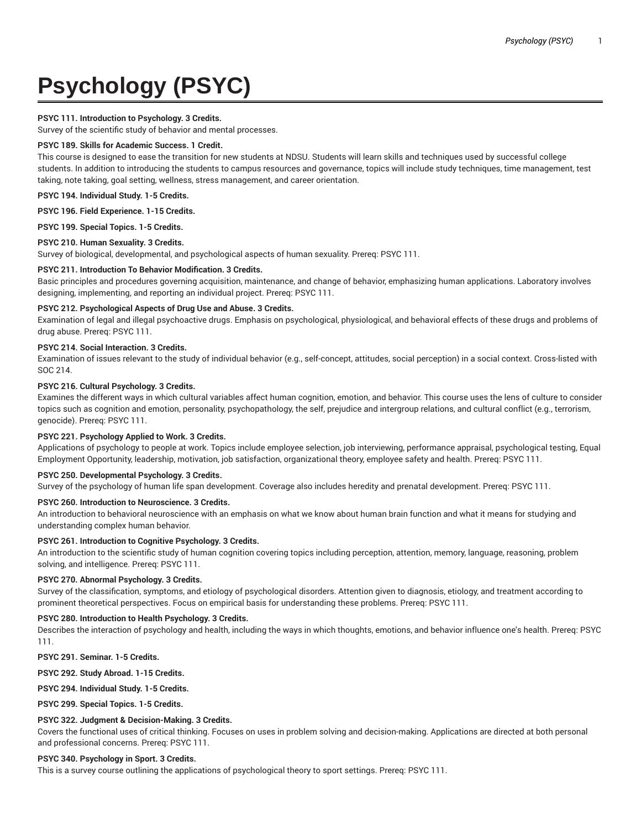# **Psychology (PSYC)**

# **PSYC 111. Introduction to Psychology. 3 Credits.**

Survey of the scientific study of behavior and mental processes.

# **PSYC 189. Skills for Academic Success. 1 Credit.**

This course is designed to ease the transition for new students at NDSU. Students will learn skills and techniques used by successful college students. In addition to introducing the students to campus resources and governance, topics will include study techniques, time management, test taking, note taking, goal setting, wellness, stress management, and career orientation.

**PSYC 194. Individual Study. 1-5 Credits.**

**PSYC 196. Field Experience. 1-15 Credits.**

**PSYC 199. Special Topics. 1-5 Credits.**

# **PSYC 210. Human Sexuality. 3 Credits.**

Survey of biological, developmental, and psychological aspects of human sexuality. Prereq: PSYC 111.

# **PSYC 211. Introduction To Behavior Modification. 3 Credits.**

Basic principles and procedures governing acquisition, maintenance, and change of behavior, emphasizing human applications. Laboratory involves designing, implementing, and reporting an individual project. Prereq: PSYC 111.

# **PSYC 212. Psychological Aspects of Drug Use and Abuse. 3 Credits.**

Examination of legal and illegal psychoactive drugs. Emphasis on psychological, physiological, and behavioral effects of these drugs and problems of drug abuse. Prereq: PSYC 111.

# **PSYC 214. Social Interaction. 3 Credits.**

Examination of issues relevant to the study of individual behavior (e.g., self-concept, attitudes, social perception) in a social context. Cross-listed with SOC 214.

# **PSYC 216. Cultural Psychology. 3 Credits.**

Examines the different ways in which cultural variables affect human cognition, emotion, and behavior. This course uses the lens of culture to consider topics such as cognition and emotion, personality, psychopathology, the self, prejudice and intergroup relations, and cultural conflict (e.g., terrorism, genocide). Prereq: PSYC 111.

# **PSYC 221. Psychology Applied to Work. 3 Credits.**

Applications of psychology to people at work. Topics include employee selection, job interviewing, performance appraisal, psychological testing, Equal Employment Opportunity, leadership, motivation, job satisfaction, organizational theory, employee safety and health. Prereq: PSYC 111.

## **PSYC 250. Developmental Psychology. 3 Credits.**

Survey of the psychology of human life span development. Coverage also includes heredity and prenatal development. Prereq: PSYC 111.

## **PSYC 260. Introduction to Neuroscience. 3 Credits.**

An introduction to behavioral neuroscience with an emphasis on what we know about human brain function and what it means for studying and understanding complex human behavior.

## **PSYC 261. Introduction to Cognitive Psychology. 3 Credits.**

An introduction to the scientific study of human cognition covering topics including perception, attention, memory, language, reasoning, problem solving, and intelligence. Prereq: PSYC 111.

## **PSYC 270. Abnormal Psychology. 3 Credits.**

Survey of the classification, symptoms, and etiology of psychological disorders. Attention given to diagnosis, etiology, and treatment according to prominent theoretical perspectives. Focus on empirical basis for understanding these problems. Prereq: PSYC 111.

## **PSYC 280. Introduction to Health Psychology. 3 Credits.**

Describes the interaction of psychology and health, including the ways in which thoughts, emotions, and behavior influence one's health. Prereq: PSYC 111.

**PSYC 291. Seminar. 1-5 Credits.**

**PSYC 292. Study Abroad. 1-15 Credits.**

**PSYC 294. Individual Study. 1-5 Credits.**

**PSYC 299. Special Topics. 1-5 Credits.**

## **PSYC 322. Judgment & Decision-Making. 3 Credits.**

Covers the functional uses of critical thinking. Focuses on uses in problem solving and decision-making. Applications are directed at both personal and professional concerns. Prereq: PSYC 111.

## **PSYC 340. Psychology in Sport. 3 Credits.**

This is a survey course outlining the applications of psychological theory to sport settings. Prereq: PSYC 111.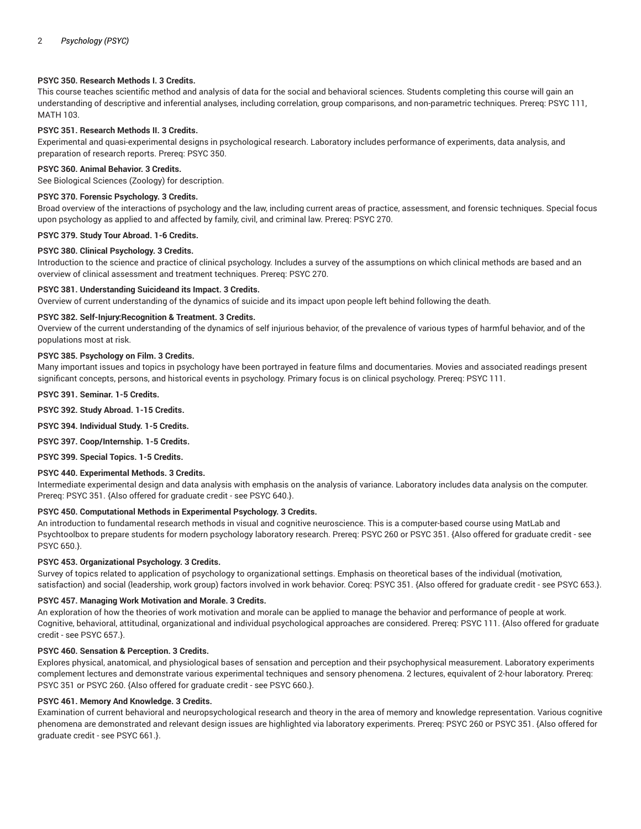# **PSYC 350. Research Methods I. 3 Credits.**

This course teaches scientific method and analysis of data for the social and behavioral sciences. Students completing this course will gain an understanding of descriptive and inferential analyses, including correlation, group comparisons, and non-parametric techniques. Prereq: PSYC 111, MATH 103.

# **PSYC 351. Research Methods II. 3 Credits.**

Experimental and quasi-experimental designs in psychological research. Laboratory includes performance of experiments, data analysis, and preparation of research reports. Prereq: PSYC 350.

## **PSYC 360. Animal Behavior. 3 Credits.**

See Biological Sciences (Zoology) for description.

## **PSYC 370. Forensic Psychology. 3 Credits.**

Broad overview of the interactions of psychology and the law, including current areas of practice, assessment, and forensic techniques. Special focus upon psychology as applied to and affected by family, civil, and criminal law. Prereq: PSYC 270.

# **PSYC 379. Study Tour Abroad. 1-6 Credits.**

## **PSYC 380. Clinical Psychology. 3 Credits.**

Introduction to the science and practice of clinical psychology. Includes a survey of the assumptions on which clinical methods are based and an overview of clinical assessment and treatment techniques. Prereq: PSYC 270.

## **PSYC 381. Understanding Suicideand its Impact. 3 Credits.**

Overview of current understanding of the dynamics of suicide and its impact upon people left behind following the death.

## **PSYC 382. Self-Injury:Recognition & Treatment. 3 Credits.**

Overview of the current understanding of the dynamics of self injurious behavior, of the prevalence of various types of harmful behavior, and of the populations most at risk.

## **PSYC 385. Psychology on Film. 3 Credits.**

Many important issues and topics in psychology have been portrayed in feature films and documentaries. Movies and associated readings present significant concepts, persons, and historical events in psychology. Primary focus is on clinical psychology. Prereq: PSYC 111.

**PSYC 391. Seminar. 1-5 Credits.**

**PSYC 392. Study Abroad. 1-15 Credits.**

**PSYC 394. Individual Study. 1-5 Credits.**

**PSYC 397. Coop/Internship. 1-5 Credits.**

**PSYC 399. Special Topics. 1-5 Credits.**

## **PSYC 440. Experimental Methods. 3 Credits.**

Intermediate experimental design and data analysis with emphasis on the analysis of variance. Laboratory includes data analysis on the computer. Prereq: PSYC 351. {Also offered for graduate credit - see PSYC 640.}.

# **PSYC 450. Computational Methods in Experimental Psychology. 3 Credits.**

An introduction to fundamental research methods in visual and cognitive neuroscience. This is a computer-based course using MatLab and Psychtoolbox to prepare students for modern psychology laboratory research. Prereq: PSYC 260 or PSYC 351. {Also offered for graduate credit - see PSYC 650.}.

## **PSYC 453. Organizational Psychology. 3 Credits.**

Survey of topics related to application of psychology to organizational settings. Emphasis on theoretical bases of the individual (motivation, satisfaction) and social (leadership, work group) factors involved in work behavior. Coreq: PSYC 351. {Also offered for graduate credit - see PSYC 653.}.

## **PSYC 457. Managing Work Motivation and Morale. 3 Credits.**

An exploration of how the theories of work motivation and morale can be applied to manage the behavior and performance of people at work. Cognitive, behavioral, attitudinal, organizational and individual psychological approaches are considered. Prereq: PSYC 111. {Also offered for graduate credit - see PSYC 657.}.

## **PSYC 460. Sensation & Perception. 3 Credits.**

Explores physical, anatomical, and physiological bases of sensation and perception and their psychophysical measurement. Laboratory experiments complement lectures and demonstrate various experimental techniques and sensory phenomena. 2 lectures, equivalent of 2-hour laboratory. Prereq: PSYC 351 or PSYC 260. {Also offered for graduate credit - see PSYC 660.}.

## **PSYC 461. Memory And Knowledge. 3 Credits.**

Examination of current behavioral and neuropsychological research and theory in the area of memory and knowledge representation. Various cognitive phenomena are demonstrated and relevant design issues are highlighted via laboratory experiments. Prereq: PSYC 260 or PSYC 351. {Also offered for graduate credit - see PSYC 661.}.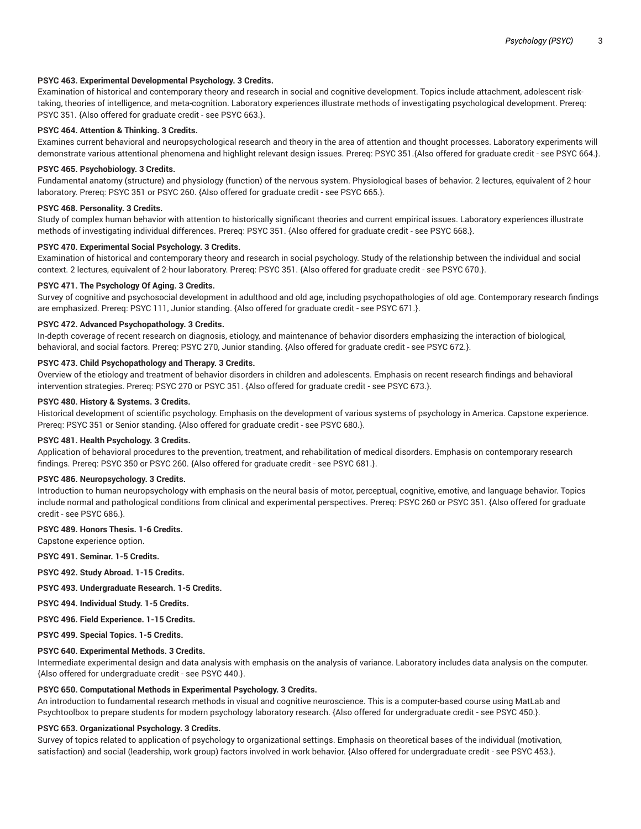# **PSYC 463. Experimental Developmental Psychology. 3 Credits.**

Examination of historical and contemporary theory and research in social and cognitive development. Topics include attachment, adolescent risktaking, theories of intelligence, and meta-cognition. Laboratory experiences illustrate methods of investigating psychological development. Prereq: PSYC 351. {Also offered for graduate credit - see PSYC 663.}.

# **PSYC 464. Attention & Thinking. 3 Credits.**

Examines current behavioral and neuropsychological research and theory in the area of attention and thought processes. Laboratory experiments will demonstrate various attentional phenomena and highlight relevant design issues. Prereq: PSYC 351.{Also offered for graduate credit - see PSYC 664.}.

# **PSYC 465. Psychobiology. 3 Credits.**

Fundamental anatomy (structure) and physiology (function) of the nervous system. Physiological bases of behavior. 2 lectures, equivalent of 2-hour laboratory. Prereq: PSYC 351 or PSYC 260. {Also offered for graduate credit - see PSYC 665.}.

# **PSYC 468. Personality. 3 Credits.**

Study of complex human behavior with attention to historically significant theories and current empirical issues. Laboratory experiences illustrate methods of investigating individual differences. Prereq: PSYC 351. {Also offered for graduate credit - see PSYC 668.}.

# **PSYC 470. Experimental Social Psychology. 3 Credits.**

Examination of historical and contemporary theory and research in social psychology. Study of the relationship between the individual and social context. 2 lectures, equivalent of 2-hour laboratory. Prereq: PSYC 351. {Also offered for graduate credit - see PSYC 670.}.

# **PSYC 471. The Psychology Of Aging. 3 Credits.**

Survey of cognitive and psychosocial development in adulthood and old age, including psychopathologies of old age. Contemporary research findings are emphasized. Prereq: PSYC 111, Junior standing. {Also offered for graduate credit - see PSYC 671.}.

# **PSYC 472. Advanced Psychopathology. 3 Credits.**

In-depth coverage of recent research on diagnosis, etiology, and maintenance of behavior disorders emphasizing the interaction of biological, behavioral, and social factors. Prereq: PSYC 270, Junior standing. {Also offered for graduate credit - see PSYC 672.}.

# **PSYC 473. Child Psychopathology and Therapy. 3 Credits.**

Overview of the etiology and treatment of behavior disorders in children and adolescents. Emphasis on recent research findings and behavioral intervention strategies. Prereq: PSYC 270 or PSYC 351. {Also offered for graduate credit - see PSYC 673.}.

## **PSYC 480. History & Systems. 3 Credits.**

Historical development of scientific psychology. Emphasis on the development of various systems of psychology in America. Capstone experience. Prereq: PSYC 351 or Senior standing. {Also offered for graduate credit - see PSYC 680.}.

## **PSYC 481. Health Psychology. 3 Credits.**

Application of behavioral procedures to the prevention, treatment, and rehabilitation of medical disorders. Emphasis on contemporary research findings. Prereq: PSYC 350 or PSYC 260. {Also offered for graduate credit - see PSYC 681.}.

## **PSYC 486. Neuropsychology. 3 Credits.**

Introduction to human neuropsychology with emphasis on the neural basis of motor, perceptual, cognitive, emotive, and language behavior. Topics include normal and pathological conditions from clinical and experimental perspectives. Prereq: PSYC 260 or PSYC 351. {Also offered for graduate credit - see PSYC 686.}.

# **PSYC 489. Honors Thesis. 1-6 Credits.**

Capstone experience option.

**PSYC 491. Seminar. 1-5 Credits.**

**PSYC 492. Study Abroad. 1-15 Credits.**

**PSYC 493. Undergraduate Research. 1-5 Credits.**

**PSYC 494. Individual Study. 1-5 Credits.**

**PSYC 496. Field Experience. 1-15 Credits.**

**PSYC 499. Special Topics. 1-5 Credits.**

# **PSYC 640. Experimental Methods. 3 Credits.**

Intermediate experimental design and data analysis with emphasis on the analysis of variance. Laboratory includes data analysis on the computer. {Also offered for undergraduate credit - see PSYC 440.}.

# **PSYC 650. Computational Methods in Experimental Psychology. 3 Credits.**

An introduction to fundamental research methods in visual and cognitive neuroscience. This is a computer-based course using MatLab and Psychtoolbox to prepare students for modern psychology laboratory research. {Also offered for undergraduate credit - see PSYC 450.}.

## **PSYC 653. Organizational Psychology. 3 Credits.**

Survey of topics related to application of psychology to organizational settings. Emphasis on theoretical bases of the individual (motivation, satisfaction) and social (leadership, work group) factors involved in work behavior. {Also offered for undergraduate credit - see PSYC 453.}.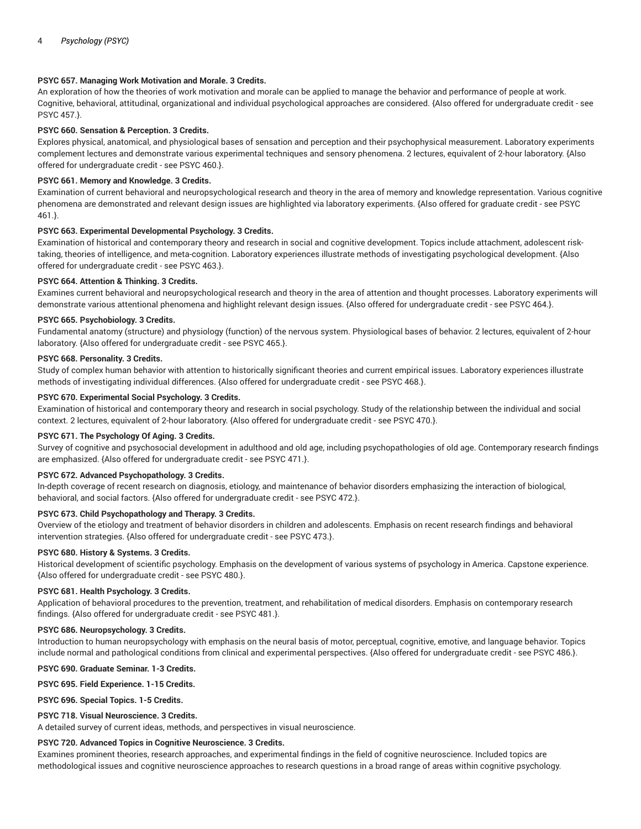# **PSYC 657. Managing Work Motivation and Morale. 3 Credits.**

An exploration of how the theories of work motivation and morale can be applied to manage the behavior and performance of people at work. Cognitive, behavioral, attitudinal, organizational and individual psychological approaches are considered. {Also offered for undergraduate credit - see PSYC 457.}.

# **PSYC 660. Sensation & Perception. 3 Credits.**

Explores physical, anatomical, and physiological bases of sensation and perception and their psychophysical measurement. Laboratory experiments complement lectures and demonstrate various experimental techniques and sensory phenomena. 2 lectures, equivalent of 2-hour laboratory. {Also offered for undergraduate credit - see PSYC 460.}.

# **PSYC 661. Memory and Knowledge. 3 Credits.**

Examination of current behavioral and neuropsychological research and theory in the area of memory and knowledge representation. Various cognitive phenomena are demonstrated and relevant design issues are highlighted via laboratory experiments. {Also offered for graduate credit - see PSYC 461.}.

# **PSYC 663. Experimental Developmental Psychology. 3 Credits.**

Examination of historical and contemporary theory and research in social and cognitive development. Topics include attachment, adolescent risktaking, theories of intelligence, and meta-cognition. Laboratory experiences illustrate methods of investigating psychological development. {Also offered for undergraduate credit - see PSYC 463.}.

# **PSYC 664. Attention & Thinking. 3 Credits.**

Examines current behavioral and neuropsychological research and theory in the area of attention and thought processes. Laboratory experiments will demonstrate various attentional phenomena and highlight relevant design issues. {Also offered for undergraduate credit - see PSYC 464.}.

## **PSYC 665. Psychobiology. 3 Credits.**

Fundamental anatomy (structure) and physiology (function) of the nervous system. Physiological bases of behavior. 2 lectures, equivalent of 2-hour laboratory. {Also offered for undergraduate credit - see PSYC 465.}.

## **PSYC 668. Personality. 3 Credits.**

Study of complex human behavior with attention to historically significant theories and current empirical issues. Laboratory experiences illustrate methods of investigating individual differences. {Also offered for undergraduate credit - see PSYC 468.}.

## **PSYC 670. Experimental Social Psychology. 3 Credits.**

Examination of historical and contemporary theory and research in social psychology. Study of the relationship between the individual and social context. 2 lectures, equivalent of 2-hour laboratory. {Also offered for undergraduate credit - see PSYC 470.}.

# **PSYC 671. The Psychology Of Aging. 3 Credits.**

Survey of cognitive and psychosocial development in adulthood and old age, including psychopathologies of old age. Contemporary research findings are emphasized. {Also offered for undergraduate credit - see PSYC 471.}.

## **PSYC 672. Advanced Psychopathology. 3 Credits.**

In-depth coverage of recent research on diagnosis, etiology, and maintenance of behavior disorders emphasizing the interaction of biological, behavioral, and social factors. {Also offered for undergraduate credit - see PSYC 472.}.

## **PSYC 673. Child Psychopathology and Therapy. 3 Credits.**

Overview of the etiology and treatment of behavior disorders in children and adolescents. Emphasis on recent research findings and behavioral intervention strategies. {Also offered for undergraduate credit - see PSYC 473.}.

## **PSYC 680. History & Systems. 3 Credits.**

Historical development of scientific psychology. Emphasis on the development of various systems of psychology in America. Capstone experience. {Also offered for undergraduate credit - see PSYC 480.}.

## **PSYC 681. Health Psychology. 3 Credits.**

Application of behavioral procedures to the prevention, treatment, and rehabilitation of medical disorders. Emphasis on contemporary research findings. {Also offered for undergraduate credit - see PSYC 481.}.

## **PSYC 686. Neuropsychology. 3 Credits.**

Introduction to human neuropsychology with emphasis on the neural basis of motor, perceptual, cognitive, emotive, and language behavior. Topics include normal and pathological conditions from clinical and experimental perspectives. {Also offered for undergraduate credit - see PSYC 486.}.

**PSYC 690. Graduate Seminar. 1-3 Credits.**

## **PSYC 695. Field Experience. 1-15 Credits.**

**PSYC 696. Special Topics. 1-5 Credits.**

## **PSYC 718. Visual Neuroscience. 3 Credits.**

A detailed survey of current ideas, methods, and perspectives in visual neuroscience.

## **PSYC 720. Advanced Topics in Cognitive Neuroscience. 3 Credits.**

Examines prominent theories, research approaches, and experimental findings in the field of cognitive neuroscience. Included topics are methodological issues and cognitive neuroscience approaches to research questions in a broad range of areas within cognitive psychology.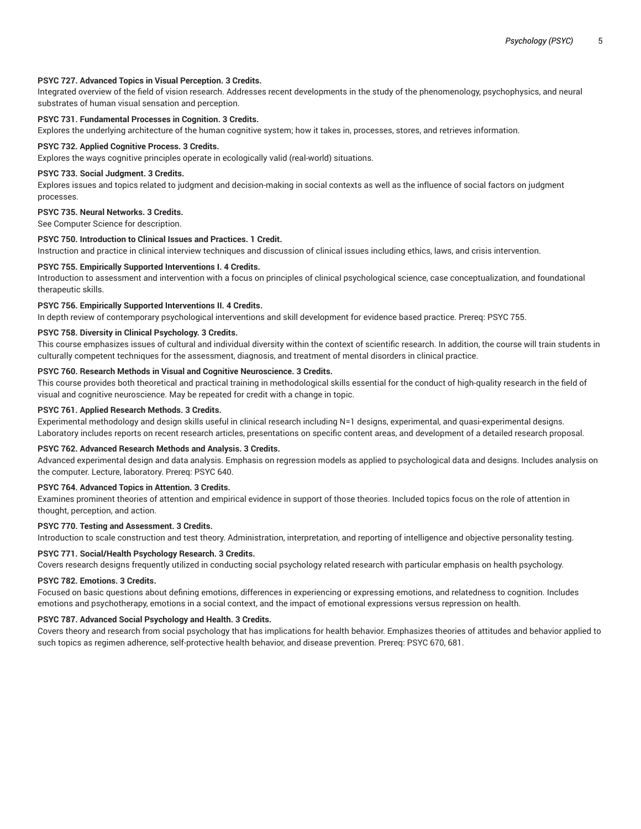## **PSYC 727. Advanced Topics in Visual Perception. 3 Credits.**

Integrated overview of the field of vision research. Addresses recent developments in the study of the phenomenology, psychophysics, and neural substrates of human visual sensation and perception.

# **PSYC 731. Fundamental Processes in Cognition. 3 Credits.**

Explores the underlying architecture of the human cognitive system; how it takes in, processes, stores, and retrieves information.

## **PSYC 732. Applied Cognitive Process. 3 Credits.**

Explores the ways cognitive principles operate in ecologically valid (real-world) situations.

#### **PSYC 733. Social Judgment. 3 Credits.**

Explores issues and topics related to judgment and decision-making in social contexts as well as the influence of social factors on judgment processes.

## **PSYC 735. Neural Networks. 3 Credits.**

See Computer Science for description.

## **PSYC 750. Introduction to Clinical Issues and Practices. 1 Credit.**

Instruction and practice in clinical interview techniques and discussion of clinical issues including ethics, laws, and crisis intervention.

## **PSYC 755. Empirically Supported Interventions I. 4 Credits.**

Introduction to assessment and intervention with a focus on principles of clinical psychological science, case conceptualization, and foundational therapeutic skills.

## **PSYC 756. Empirically Supported Interventions II. 4 Credits.**

In depth review of contemporary psychological interventions and skill development for evidence based practice. Prereq: PSYC 755.

# **PSYC 758. Diversity in Clinical Psychology. 3 Credits.**

This course emphasizes issues of cultural and individual diversity within the context of scientific research. In addition, the course will train students in culturally competent techniques for the assessment, diagnosis, and treatment of mental disorders in clinical practice.

## **PSYC 760. Research Methods in Visual and Cognitive Neuroscience. 3 Credits.**

This course provides both theoretical and practical training in methodological skills essential for the conduct of high-quality research in the field of visual and cognitive neuroscience. May be repeated for credit with a change in topic.

## **PSYC 761. Applied Research Methods. 3 Credits.**

Experimental methodology and design skills useful in clinical research including N=1 designs, experimental, and quasi-experimental designs. Laboratory includes reports on recent research articles, presentations on specific content areas, and development of a detailed research proposal.

#### **PSYC 762. Advanced Research Methods and Analysis. 3 Credits.**

Advanced experimental design and data analysis. Emphasis on regression models as applied to psychological data and designs. Includes analysis on the computer. Lecture, laboratory. Prereq: PSYC 640.

## **PSYC 764. Advanced Topics in Attention. 3 Credits.**

Examines prominent theories of attention and empirical evidence in support of those theories. Included topics focus on the role of attention in thought, perception, and action.

## **PSYC 770. Testing and Assessment. 3 Credits.**

Introduction to scale construction and test theory. Administration, interpretation, and reporting of intelligence and objective personality testing.

## **PSYC 771. Social/Health Psychology Research. 3 Credits.**

Covers research designs frequently utilized in conducting social psychology related research with particular emphasis on health psychology.

# **PSYC 782. Emotions. 3 Credits.**

Focused on basic questions about defining emotions, differences in experiencing or expressing emotions, and relatedness to cognition. Includes emotions and psychotherapy, emotions in a social context, and the impact of emotional expressions versus repression on health.

## **PSYC 787. Advanced Social Psychology and Health. 3 Credits.**

Covers theory and research from social psychology that has implications for health behavior. Emphasizes theories of attitudes and behavior applied to such topics as regimen adherence, self-protective health behavior, and disease prevention. Prereq: PSYC 670, 681.